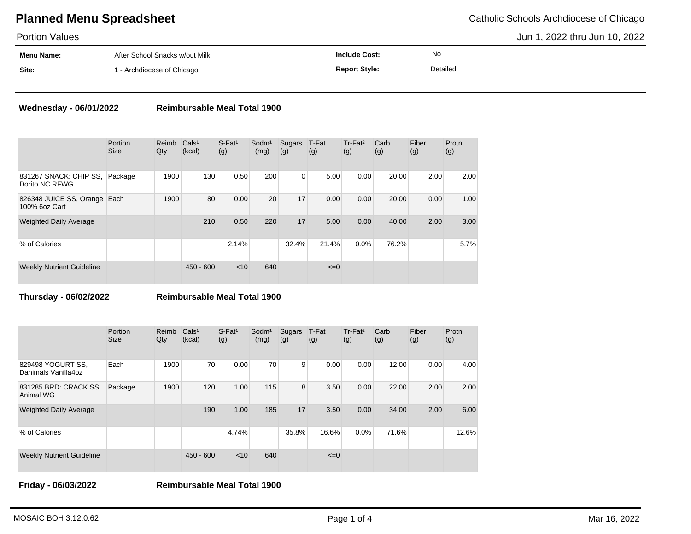# **Planned Menu Spreadsheet** Catholic Schools Archdiocese of Chicago

Portion Values

Jun 1, 2022 thru Jun 10, 2022

| .          |                                |                      |          |  |
|------------|--------------------------------|----------------------|----------|--|
| Menu Name: | After School Snacks w/out Milk | Include Cost:        | No       |  |
| Site:      | 1 - Archdiocese of Chicago     | <b>Report Style:</b> | Detailed |  |

### **Wednesday - 06/01/2022 Reimbursable Meal Total 1900**

|                                               | Portion<br><b>Size</b> | Reimb<br>Qty | Cals <sup>1</sup><br>(kcal) | $S$ -Fat <sup>1</sup><br>(g) | Sodm <sup>1</sup><br>(mg) | Sugars<br>(g) | T-Fat<br>(g) | Tr-Fat <sup>2</sup><br>(g) | Carb<br>(g) | Fiber<br>(g) | Protn<br>(g) |
|-----------------------------------------------|------------------------|--------------|-----------------------------|------------------------------|---------------------------|---------------|--------------|----------------------------|-------------|--------------|--------------|
| 831267 SNACK: CHIP SS,<br>Dorito NC RFWG      | Package                | 1900         | 130                         | 0.50                         | 200                       | 0             | 5.00         | 0.00                       | 20.00       | 2.00         | 2.00         |
| 826348 JUICE SS, Orange Each<br>100% 6oz Cart |                        | 1900         | 80                          | 0.00                         | 20                        | 17            | 0.00         | 0.00                       | 20.00       | 0.00         | 1.00         |
| <b>Weighted Daily Average</b>                 |                        |              | 210                         | 0.50                         | 220                       | 17            | 5.00         | 0.00                       | 40.00       | 2.00         | 3.00         |
| % of Calories                                 |                        |              |                             | 2.14%                        |                           | 32.4%         | 21.4%        | 0.0%                       | 76.2%       |              | 5.7%         |
| <b>Weekly Nutrient Guideline</b>              |                        |              | $450 - 600$                 | $<$ 10                       | 640                       |               | $\leq=0$     |                            |             |              |              |

**Thursday - 06/02/2022 Reimbursable Meal Total 1900**

|                                          | Portion<br><b>Size</b> | Reimb<br>Qty | Cals <sup>1</sup><br>(kcal) | $S$ -Fat <sup>1</sup><br>(g) | Sodm <sup>1</sup><br>(mg) | Sugars<br>(g) | T-Fat<br>(g) | Tr-Fat <sup>2</sup><br>(g) | Carb<br>(g) | Fiber<br>(g) | Protn<br>(g) |
|------------------------------------------|------------------------|--------------|-----------------------------|------------------------------|---------------------------|---------------|--------------|----------------------------|-------------|--------------|--------------|
| 829498 YOGURT SS,<br>Danimals Vanilla4oz | Each                   | 1900         | 70                          | 0.00                         | 70                        | 9             | 0.00         | 0.00                       | 12.00       | 0.00         | 4.00         |
| 831285 BRD: CRACK SS.<br>Animal WG       | Package                | 1900         | 120                         | 1.00                         | 115                       | 8             | 3.50         | 0.00                       | 22.00       | 2.00         | 2.00         |
| <b>Weighted Daily Average</b>            |                        |              | 190                         | 1.00                         | 185                       | 17            | 3.50         | 0.00                       | 34.00       | 2.00         | 6.00         |
| % of Calories                            |                        |              |                             | 4.74%                        |                           | 35.8%         | 16.6%        | 0.0%                       | 71.6%       |              | 12.6%        |
| <b>Weekly Nutrient Guideline</b>         |                        |              | $450 - 600$                 | < 10                         | 640                       |               | $\leq=0$     |                            |             |              |              |

**Friday - 06/03/2022 Reimbursable Meal Total 1900**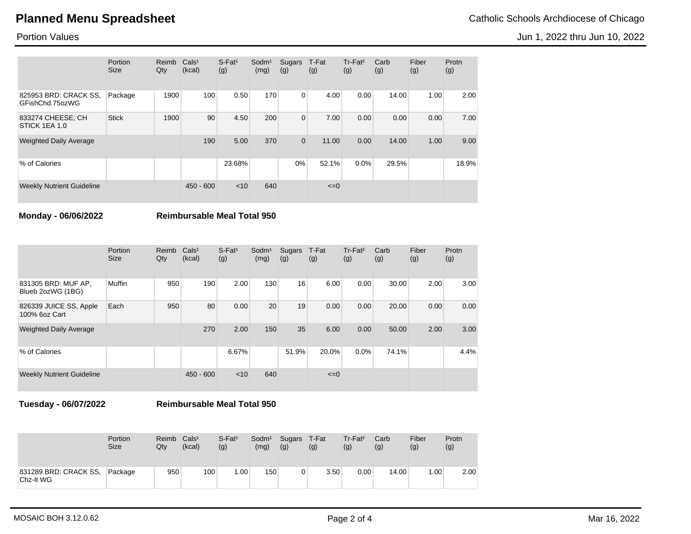# **Planned Menu Spreadsheet** Catholic Schools Archdiocese of Chicago

Jun 1, 2022 thru Jun 10, 2022

Portion Values

|                                          | Portion<br><b>Size</b> | Reimb<br>Qty | Cals <sup>1</sup><br>(kcal) | $S$ -Fat <sup>1</sup><br>(g) | Sodm <sup>1</sup><br>(mg) | Sugars<br>(g) | T-Fat<br>(g) | Tr-Fat <sup>2</sup><br>(g) | Carb<br>(g) | Fiber<br>(g) | Protn<br>(g) |
|------------------------------------------|------------------------|--------------|-----------------------------|------------------------------|---------------------------|---------------|--------------|----------------------------|-------------|--------------|--------------|
| 825953 BRD: CRACK SS,<br>GFishChd.75ozWG | Package                | 1900         | 100                         | 0.50                         | 170                       | 0             | 4.00         | 0.00                       | 14.00       | 1.00         | 2.00         |
| 833274 CHEESE, CH<br>STICK 1EA 1.0       | <b>Stick</b>           | 1900         | 90                          | 4.50                         | 200                       | $\mathbf{0}$  | 7.00         | 0.00                       | 0.00        | 0.00         | 7.00         |
| <b>Weighted Daily Average</b>            |                        |              | 190                         | 5.00                         | 370                       | $\mathbf 0$   | 11.00        | 0.00                       | 14.00       | 1.00         | 9.00         |
| % of Calories                            |                        |              |                             | 23.68%                       |                           | 0%            | 52.1%        | 0.0%                       | 29.5%       |              | 18.9%        |
| <b>Weekly Nutrient Guideline</b>         |                        |              | $450 - 600$                 | < 10                         | 640                       |               | $\leq=0$     |                            |             |              |              |

**Monday - 06/06/2022 Reimbursable Meal Total 950**

|                                          | Portion<br><b>Size</b> | Reimb<br>Qty | Cals <sup>1</sup><br>(kcal) | $S$ -Fat <sup>1</sup><br>(g) | Sodm <sup>1</sup><br>(mg) | Sugars<br>(g) | T-Fat<br>(g) | Tr-Fat <sup>2</sup><br>(g) | Carb<br>(g) | Fiber<br>(g) | Protn<br>(g) |
|------------------------------------------|------------------------|--------------|-----------------------------|------------------------------|---------------------------|---------------|--------------|----------------------------|-------------|--------------|--------------|
| 831305 BRD: MUF AP,<br>Blueb 2ozWG (1BG) | Muffin                 | 950          | 190                         | 2.00                         | 130                       | 16            | 6.00         | 0.00                       | 30.00       | 2.00         | 3.00         |
| 826339 JUICE SS, Apple<br>100% 6oz Cart  | Each                   | 950          | 80                          | 0.00                         | 20                        | 19            | 0.00         | 0.00                       | 20.00       | 0.00         | 0.00         |
| <b>Weighted Daily Average</b>            |                        |              | 270                         | 2.00                         | 150                       | 35            | 6.00         | 0.00                       | 50.00       | 2.00         | 3.00         |
| % of Calories                            |                        |              |                             | 6.67%                        |                           | 51.9%         | 20.0%        | 0.0%                       | 74.1%       |              | 4.4%         |
| <b>Weekly Nutrient Guideline</b>         |                        |              | $450 - 600$                 | $<$ 10                       | 640                       |               | $\leq=0$     |                            |             |              |              |

**Tuesday - 06/07/2022 Reimbursable Meal Total 950**

|                                    | Portion     | Reimb | Cals <sup>1</sup> | $S$ -Fat <sup>1</sup> | Sodm <sup>1</sup> | Sugars | T-Fat | $Tr-Fat2$ | Carb  | Fiber | Protn |
|------------------------------------|-------------|-------|-------------------|-----------------------|-------------------|--------|-------|-----------|-------|-------|-------|
|                                    | <b>Size</b> | Qty   | (kcal)            | (g)                   | (mg)              | (g)    | (g)   | (g)       | (g)   | (g)   | (g)   |
| 831289 BRD: CRACK SS,<br>Chz-It WG | Package     | 950   | 100               | .00 <sub>1</sub>      | 150               | 0      | 3.50  | 0.00      | 14.00 | 1.00  | 2.00  |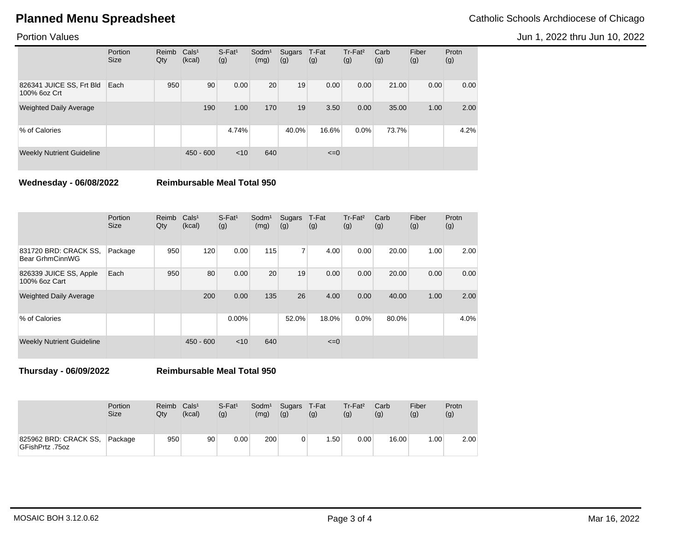# **Planned Menu Spreadsheet** Catholic Schools Archdiocese of Chicago

Jun 1, 2022 thru Jun 10, 2022

Portion Values

|                                          | Portion<br><b>Size</b> | Reimb<br>Qty | Cals <sup>1</sup><br>(kcal) | $S$ -Fat <sup>1</sup><br>(g) | Sodm <sup>1</sup><br>(mg) | Sugars<br>(g) | T-Fat<br>(g) | $Tr-Fat2$<br>(g) | Carb<br>(g) | Fiber<br>(g) | Protn<br>(g) |
|------------------------------------------|------------------------|--------------|-----------------------------|------------------------------|---------------------------|---------------|--------------|------------------|-------------|--------------|--------------|
| 826341 JUICE SS, Frt Bld<br>100% 6oz Crt | Each                   | 950          | 90                          | 0.00                         | 20                        | 19            | 0.00         | 0.00             | 21.00       | 0.00         | 0.00         |
| <b>Weighted Daily Average</b>            |                        |              | 190                         | 1.00                         | 170                       | 19            | 3.50         | 0.00             | 35.00       | 1.00         | 2.00         |
| % of Calories                            |                        |              |                             | 4.74%                        |                           | 40.0%         | 16.6%        | 0.0%             | 73.7%       |              | 4.2%         |
| <b>Weekly Nutrient Guideline</b>         |                        |              | $450 - 600$                 | < 10                         | 640                       |               | $\leq=0$     |                  |             |              |              |

**Wednesday - 06/08/2022 Reimbursable Meal Total 950**

|                                          | Portion<br><b>Size</b> | Reimb<br>Qty | Cals <sup>1</sup><br>(kcal) | $S$ -Fat <sup>1</sup><br>(g) | Sodm <sup>1</sup><br>(mg) | Sugars<br>(g)  | T-Fat<br>(g) | Tr-Fat <sup>2</sup><br>(g) | Carb<br>(g) | Fiber<br>(g) | Protn<br>(g) |
|------------------------------------------|------------------------|--------------|-----------------------------|------------------------------|---------------------------|----------------|--------------|----------------------------|-------------|--------------|--------------|
| 831720 BRD: CRACK SS,<br>Bear GrhmCinnWG | Package                | 950          | 120                         | 0.00                         | 115                       | $\overline{7}$ | 4.00         | 0.00                       | 20.00       | 1.00         | 2.00         |
| 826339 JUICE SS, Apple<br>100% 6oz Cart  | Each                   | 950          | 80                          | 0.00                         | 20                        | 19             | 0.00         | 0.00                       | 20.00       | 0.00         | 0.00         |
| <b>Weighted Daily Average</b>            |                        |              | 200                         | 0.00                         | 135                       | 26             | 4.00         | 0.00                       | 40.00       | 1.00         | 2.00         |
| % of Calories                            |                        |              |                             | $0.00\%$                     |                           | 52.0%          | 18.0%        | 0.0%                       | 80.0%       |              | 4.0%         |
| <b>Weekly Nutrient Guideline</b>         |                        |              | $450 - 600$                 | $<$ 10                       | 640                       |                | $\leq=0$     |                            |             |              |              |

**Thursday - 06/09/2022 Reimbursable Meal Total 950**

|                                          | <b>Portion</b><br><b>Size</b> | Reimb<br>Qtv | Cals <sup>1</sup><br>(kcal) | $S$ -Fat <sup>1</sup><br>(g) | Sodm <sup>1</sup><br>(mg) | Sugars<br>(g) | T-Fat<br>(g)     | $Tr-Fat2$<br>(g) | Carb<br>(g) | Fiber<br>(g) | Protn<br>(g) |
|------------------------------------------|-------------------------------|--------------|-----------------------------|------------------------------|---------------------------|---------------|------------------|------------------|-------------|--------------|--------------|
| 825962 BRD: CRACK SS,<br>GFishPrtz .75oz | Package                       | 950          | 90                          | $0.00\,$                     | 200                       |               | .50 <sub>1</sub> | 0.00             | 16.00       | .00.         | 2.00         |

MOSAIC BOH 3.12.0.62 Mar 16, 2022